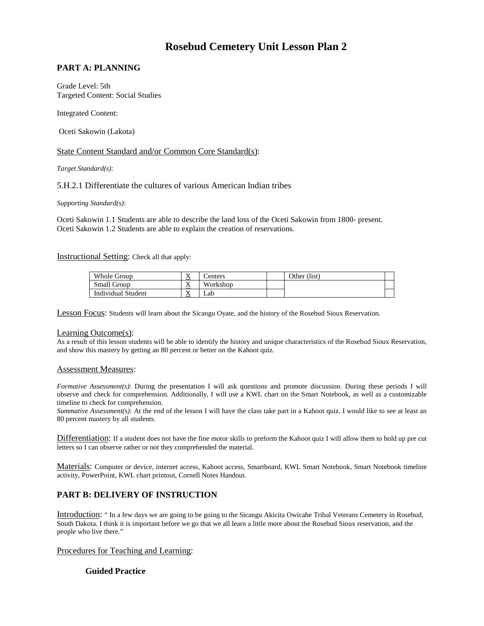# **Rosebud Cemetery Unit Lesson Plan 2**

# **PART A: PLANNING**

Grade Level: 5th Targeted Content: Social Studies

Integrated Content:

Oceti Sakowin (Lakota)

## State Content Standard and/or Common Core Standard(s):

*Target Standard(s)*:

## 5.H.2.1 Differentiate the cultures of various American Indian tribes

*Supporting Standard(s)*:

 Oceti Sakowin 1.1 Students are able to describe the land loss of the Oceti Sakowin from 1800- present. Oceti Sakowin 1.2 Students are able to explain the creation of reservations.

#### Instructional Setting: Check all that apply:

| Whole Group        | $\mathbf{v}$<br>$\Delta$ | enters   | Other (list) |  |
|--------------------|--------------------------|----------|--------------|--|
| Small Group        | T 7<br>$\Lambda$         | Workshop |              |  |
| Individual Student | $\lambda$                | ∟ab      |              |  |

Lesson Focus: Students will learn about the Sicangu Oyate, and the history of the Rosebud Sioux Reservation.

#### Learning Outcome(s):

 and show this mastery by getting an 80 percent or better on the Kahoot quiz. As a result of this lesson students will be able to identify the history and unique characteristics of the Rosebud Sioux Reservation,

#### Assessment Measures:

 observe and check for comprehension. Additionally, I will use a KWL chart on the Smart Notebook, as well as a customizable *Formative Assessment(s)*: During the presentation I will ask questions and promote discussion. During these periods I will timeline to check for comprehension.

*Summative Assessment(s)*: At the end of the lesson I will have the class take part in a Kahoot quiz. I would like to see at least an 80 percent mastery by all students.

Differentiation: If a student does not have the fine motor skills to preform the Kahoot quiz I will allow them to hold up pre cut letters so I can observe rather or not they comprehended the material.

Materials: Computer or device, internet access, Kahoot access, Smartboard, KWL Smart Notebook, Smart Notebook timeline activity, PowerPoint, KWL chart printout, Cornell Notes Handout.

# **PART B: DELIVERY OF INSTRUCTION**

Introduction: " In a few days we are going to be going to the Sicangu Akicita Owicahe Tribal Veterans Cemetery in Rosebud, South Dakota. I think it is important before we go that we all learn a little more about the Rosebud Sioux reservation, and the people who live there."

## Procedures for Teaching and Learning:

## **Guided Practice**